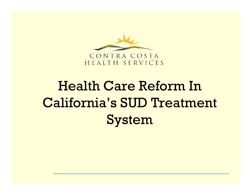

# Health Care Reform In California's SUD Treatment System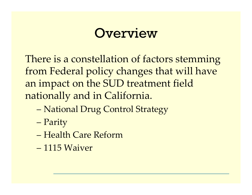# Overview

There is a constellation of factors stemming from Federal policy changes that will have an impact on the SUD treatment field nationally and in California.

- National Drug Control Strategy
- Parity
- Health Care Reform
- $-1115$  Waiver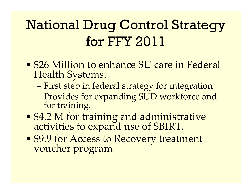# National Drug Control Strategy for FFY 2011

- \$26 Million to enhance SU care in Federal Health Systems.
	- First step in federal strategy for integration.
	- –Provides for expanding SUD workforce and for training.
- \$4.2 M for training and administrative activities to expan<sup>d</sup> use of SBIRT.
- \$9.9 for Access to Recovery treatment voucher program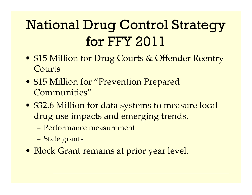# National Drug Control Strategy for FFY 2011

- \$15 Million for Drug Courts & Offender Reentry Courts
- \$15 Million for "Prevention Prepared Communities"
- \$32.6 Million for data systems to measure local drug use impacts and emerging trends.
	- Performance measurement
	- State grants
- Block Grant remains at prior year level.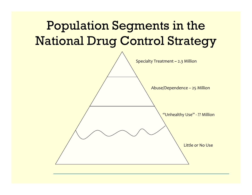### Population Segments in the National Drug Control Strategy

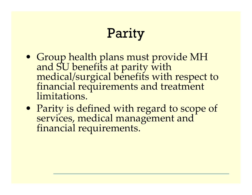# Parity

- Group health plans must provide MH and SU benefits at parity with<br>medical/surgical benefits with respect to<br>financial requirements and treatment<br>limitations.
- Parity is defined with regar<sup>d</sup> to scope of services, medical managemen<sup>t</sup> and financial requirements.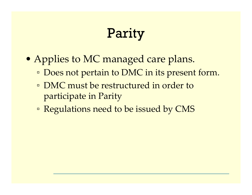# Parity

- Applies to MC managed care plans.
	- Does not pertain to DMC in its present form.
	- **DMC** must be restructured in order to participate in Parity
	- **Example 1 Regulations need to be issued by CMS**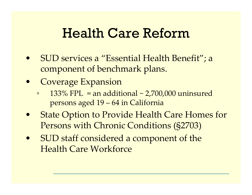### Health Care Reform

- $\bullet$  SUD services <sup>a</sup> "Essential Health Benefit"; a componen<sup>t</sup> of benchmark plans.
- $\bullet$  Coverage Expansion
	- $\Box$  133% FPL = an additional ~ 2,700,000 uninsured persons aged 19 – 64 in California
- • State Option to Provide Health Care Homes for Persons with Chronic Conditions (§2703)
- $\bullet$  SUD staff considered <sup>a</sup> componen<sup>t</sup> of the Health Care Workforce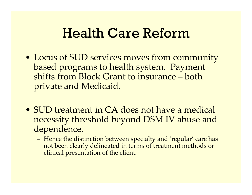## Health Care Reform

- Locus of SUD services moves from community based programs to health system. Payment shifts from Block Grant to insurance – both private and Medicaid.
- SUD treatment in CA does not have <sup>a</sup> medical necessity threshold beyond DSM IV abuse and dependence.
	- Hence the distinction between specialty and 'regular' care has not been clearly delineated in terms of treatment methods or clinical presentation of the client.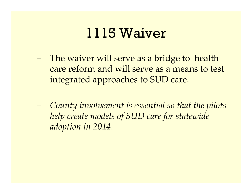# 1115 Waiver

- The waiver will serve as a bridge to health care reform and will serve as a means to test integrated approaches to SUD care.
- County involvement is essential so that the pilots help create models of SUD care for statewide adoption in 2014.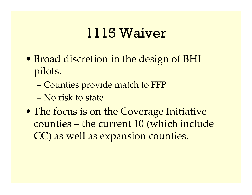# 1115 Waiver

- Broad discretion in the design of BHI pilots.
	- Counties provide match to FFP
	- No risk to state
- The focus is on the Coverage Initiative counties – the current 10 (which include CC) as well as expansion counties.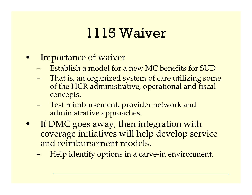# 1115 Waiver

- Importance of waiver
	- Establish a model for a new MC benefits for SUD
	- That is, an organized system of care utilizing some of the HCR administrative, operational and fiscal concepts.
	- Test reimbursement, provider network and administrative approaches.
- If DMC goes away, then integration with coverage initiatives will help develop service and reimbursement models.
	- Help identify options in a carve-in environment.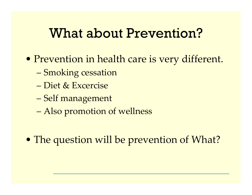### **What about Prevention?**

- Prevention in health care is very different.
	- Smoking cessation
	- Diet & Excercise
	- Self management
	- Also promotion of wellness
- The question will be prevention of What?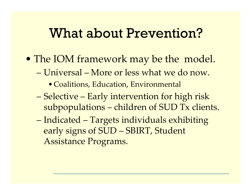### What about Prevention?

- The IOM framework may be the model.
	- Universal More or less what we do now.
		- Coalitions, Education, Environmental
	- Selective Early intervention for high risk subpopulations – children of SUD Tx clients.
	- Indicated Targets individuals exhibiting early signs of SUD – SBIRT, Student Assistance Programs.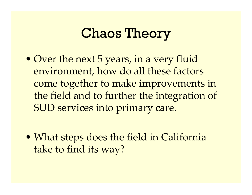# Chaos Theory

- Over the next 5 years, in <sup>a</sup> very fluid environment, how do all these factors come together to make improvements in the field and to further the integration of SUD services into primary care.
- What steps does the field in California take to find its way?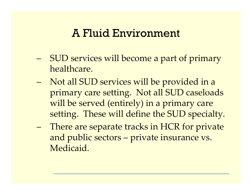#### A Fluid Environment

- SUD services will become <sup>a</sup> par<sup>t</sup> of primary healthcare.
- Not all SUD services will be provided in a primary care setting. Not all SUD caseloads will be served (entirely) in <sup>a</sup> primary care setting. These will define the SUD specialty.
- There are separate tracks in HCR for private and public sectors – private insurance vs. Medicaid.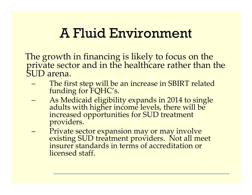# A Fluid Environment

The growth in financing is likely to focus on the private sector and in the healthcare rather than the<br>SUD arena.

- and the state of the state The first step will be an increase in SBIRT related funding for FQHC's.
- and the state of the state As Medicaid eligibility expands in <sup>2014</sup> to single adults with higher income levels, there will be increased opportunities for SUD treatment providers.
- – Private sector expansion may or may involve existing SUD treatment providers. Not all meet insurer standards in terms of accreditation or licensed staff.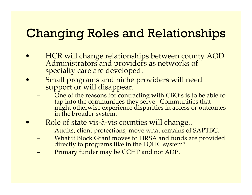### Changing Roles and Relationships

- $\bullet$  HCR will change relationships between county AOD Administrators and providers as networks of specialty care are developed.
- $\bullet$  Small programs and niche providers will need support or will disappear.
	- One of the reasons for contracting with CBO's is to be able to tap into the communities they serve. Communities that<br>might otherwise experience disparities in access or outcomes<br>in the broader system. in the broader system.
- $\bullet$  Role of state vis ‐ à ‐vis counties will change..
	- Audits, client protections, move what remains of SAPTBG.
	- What if Block Grant moves to HRSA and funds are provided<br>directly to programs like in the FQHC system?
	- Primary funder may be CCHP and not ADP.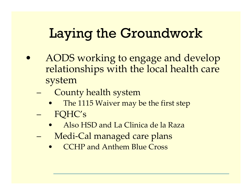# Laying the Groundwork

- AODS working to engage and develop relationships with the local health care system
	- County health system
		- The 1115 Waiver may be the first step FOHC's
		- Also HSD and La Clinica de la Raza
	- Medi-Cal managed care plans
		- **CCHP and Anthem Blue Cross**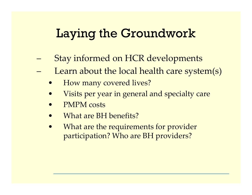### Laying the Groundwork

- Stay informed on HCR developments
- –Learn about the local health care system(s)
	- $\bullet$ How many covered lives?
	- $\bullet$ Visits per year in general and specialty care
	- $\bullet$ PMPM costs
	- $\bullet$ What are BH benefits?
	- $\bullet$  What are the requirements for provider participation? Who are BH providers?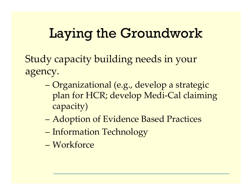# Laying the Groundwork

Study capacity building needs in your agency.

- Organizational (e.g., develop <sup>a</sup> strategic plan for HCR; develop Medi ‐Cal claiming capacity)
- –Adoption of Evidence Based Practices
- Information Technology
- Workforce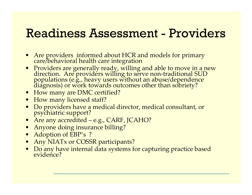### Readiness Assessment - Providers

- •Are providers informed about HCR and models for primary care/behavioral health care integration
- Providers are generally ready, willing and able to move in a new direction. Are providers willing to serve non ‐traditional SUD populations (e.g., heavy users without an abuse/dependence diagnosis) or work towards outcomes other than sobriety?
- How many are DMC certified?
- How many licensed staff?
- Do providers have <sup>a</sup> medical director, medical consultant, or psychiatric support?
- Are any accredited e.g., CARF, JCAHO?
- Anyone doing insurance billing?
- Adoption of EBP's ?
- Any NIATx or COSSR participants?
- Do any have internal data systems for capturing practice based evidence?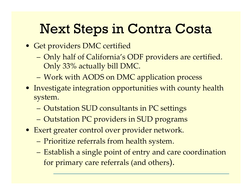- Get providers DMC certified
	- – Only half of California's ODF providers are certified. Only 33% actually bill DMC.
	- Work with AODS on DMC application process
- Investigate integration opportunities with county health system.
	- Outstation SUD consultants in PC settings
	- Outstation PC providers in SUD programs
- Exert greater control over provider network.
	- Prioritize referrals from health system.
	- Establish <sup>a</sup> single point of entry and care coordination for primary care referrals (and others).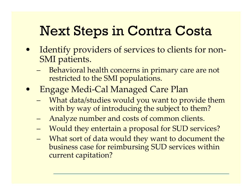- Identify providers of services to clients for non ‐ SMI patients.
	- – Behavioral health concerns in primary care are not restricted to the SMI populations.
- • Engage Medi ‐Cal Managed Care Plan
	- – What data/studies would you want to provide them with by way of introducing the subject to them?
	- –Analyze number and costs of common clients.
	- –Would they entertain <sup>a</sup> proposal for SUD services?
	- – What sort of data would they want to document the business case for reimbursing SUD services within current capitation?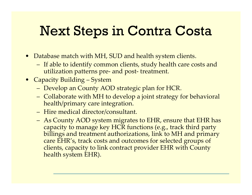- Database match with MH, SUD and health system clients.
	- If able to identify common clients, study health care costs and utilization patterns pre ‐ and pos<sup>t</sup> ‐ treatment.
- Capacity Building System
	- Develop an County AOD strategic plan for HCR.
	- Collaborate with MH to develop <sup>a</sup> joint strategy for behavioral health/primary care integration.
	- Hire medical director/consultant.
	- As County AOD system migrates to EHR, ensure that EHR has capacity to manage key HCR functions (e.g., track third party billings and treatment authorizations, link to MH and primary care EHR's, track costs and outcomes for selected groups of clients, capacity to link contract provider EHR with County health system EHR).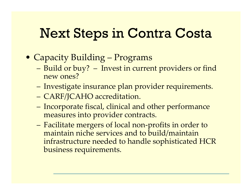- Capacity Building Programs
	- – Build or buy? – Invest in current providers or find new ones?
	- Investigate insurance plan provider requirements.
	- CARF/JCAHO accreditation.
	- – Incorporate fiscal, clinical and other performance measures into provider contracts.
	- Facilitate mergers of local non ‐profits in order to maintain niche services and to build/maintain infrastructure needed to handle sophisticated HCR business requirements.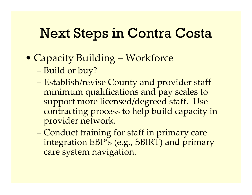- Capacity Building Workforce
	- Build or buy?
	- – Establish/revise County and provider staff minimum qualifications and pay scales to suppor<sup>t</sup> more licensed/degreed staff. Use contracting process to help build capacity in provider network.
	- Conduct training for staff in primary care integration EBP's (e.g., SBIRT) and primary care system navigation.